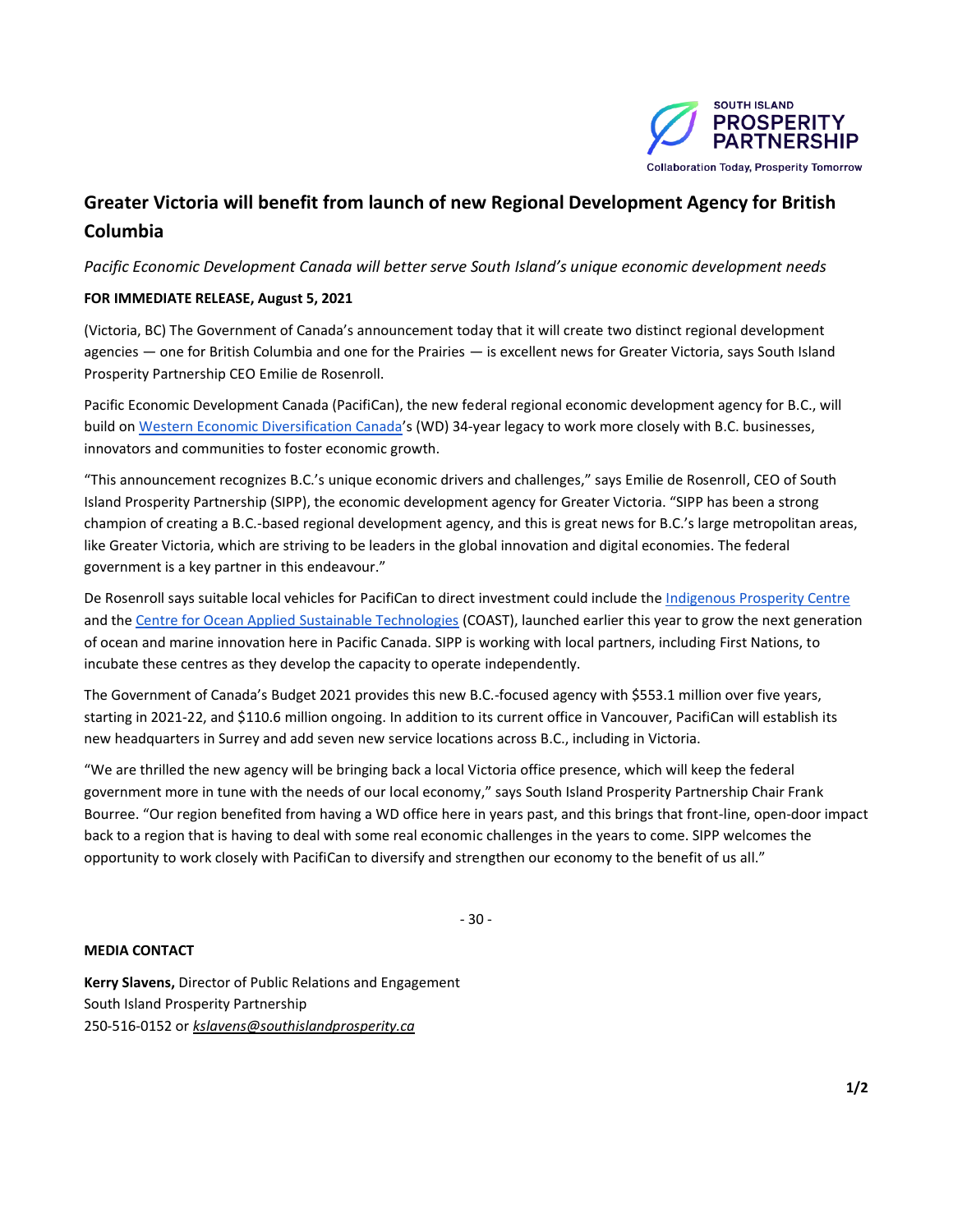

# **Greater Victoria will benefit from launch of new Regional Development Agency for British Columbia**

*Pacific Economic Development Canada will better serve South Island's unique economic development needs*

## **FOR IMMEDIATE RELEASE, August 5, 2021**

(Victoria, BC) The Government of Canada's announcement today that it will create two distinct regional development agencies — one for British Columbia and one for the Prairies — is excellent news for Greater Victoria, says South Island Prosperity Partnership CEO Emilie de Rosenroll.

Pacific Economic Development Canada (PacifiCan), the new federal regional economic development agency for B.C., will build o[n Western Economic Diversification Canada](https://www.wd-deo.gc.ca/eng/home.asp)'s (WD) 34-year legacy to work more closely with B.C. businesses, innovators and communities to foster economic growth.

"This announcement recognizes B.C.'s unique economic drivers and challenges," says Emilie de Rosenroll, CEO of South Island Prosperity Partnership (SIPP), the economic development agency for Greater Victoria. "SIPP has been a strong champion of creating a B.C.-based regional development agency, and this is great news for B.C.'s large metropolitan areas, like Greater Victoria, which are striving to be leaders in the global innovation and digital economies. The federal government is a key partner in this endeavour."

De Rosenroll says suitable local vehicles for PacifiCan to direct investment could include the [Indigenous Prosperity Centre](https://indigenousprosperitycentre.ca/) and th[e Centre for Ocean Applied Sustainable Technologies](https://canadacoast.ca/) (COAST), launched earlier this year to grow the next generation of ocean and marine innovation here in Pacific Canada. SIPP is working with local partners, including First Nations, to incubate these centres as they develop the capacity to operate independently.

The Government of Canada's Budget 2021 provides this new B.C.-focused agency with \$553.1 million over five years, starting in 2021-22, and \$110.6 million ongoing. In addition to its current office in Vancouver, PacifiCan will establish its new headquarters in Surrey and add seven new service locations across B.C., including in Victoria.

"We are thrilled the new agency will be bringing back a local Victoria office presence, which will keep the federal government more in tune with the needs of our local economy," says South Island Prosperity Partnership Chair Frank Bourree. "Our region benefited from having a WD office here in years past, and this brings that front-line, open-door impact back to a region that is having to deal with some real economic challenges in the years to come. SIPP welcomes the opportunity to work closely with PacifiCan to diversify and strengthen our economy to the benefit of us all."

- 30 -

## **MEDIA CONTACT**

**Kerry Slavens,** Director of Public Relations and Engagement South Island Prosperity Partnership 250-516-0152 or *[kslavens@southislandprosperity.ca](mailto:kslavens@southislandprosperity.ca)*